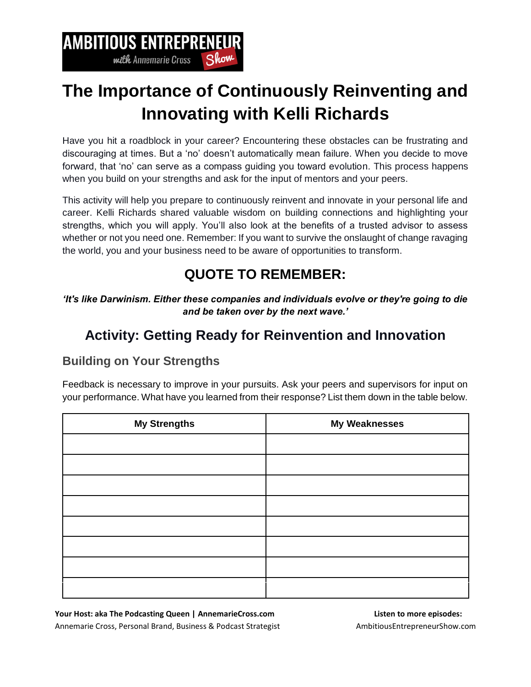# **The Importance of Continuously Reinventing and Innovating with Kelli Richards**

Have you hit a roadblock in your career? Encountering these obstacles can be frustrating and discouraging at times. But a 'no' doesn't automatically mean failure. When you decide to move forward, that 'no' can serve as a compass guiding you toward evolution. This process happens when you build on your strengths and ask for the input of mentors and your peers.

This activity will help you prepare to continuously reinvent and innovate in your personal life and career. Kelli Richards shared valuable wisdom on building connections and highlighting your strengths, which you will apply. You'll also look at the benefits of a trusted advisor to assess whether or not you need one. Remember: If you want to survive the onslaught of change ravaging the world, you and your business need to be aware of opportunities to transform.

# **QUOTE TO REMEMBER:**

*'It's like Darwinism. Either these companies and individuals evolve or they're going to die and be taken over by the next wave.'*

# **Activity: Getting Ready for Reinvention and Innovation**

### **Building on Your Strengths**

Feedback is necessary to improve in your pursuits. Ask your peers and supervisors for input on your performance. What have you learned from their response? List them down in the table below.

| <b>My Strengths</b> | <b>My Weaknesses</b> |
|---------------------|----------------------|
|                     |                      |
|                     |                      |
|                     |                      |
|                     |                      |
|                     |                      |
|                     |                      |
|                     |                      |
|                     |                      |

**Your Host: aka The Podcasting Queen | AnnemarieCross.com** Annemarie Cross, Personal Brand, Business & Podcast Strategist

 **Listen to more episodes:** AmbitiousEntrepreneurShow.com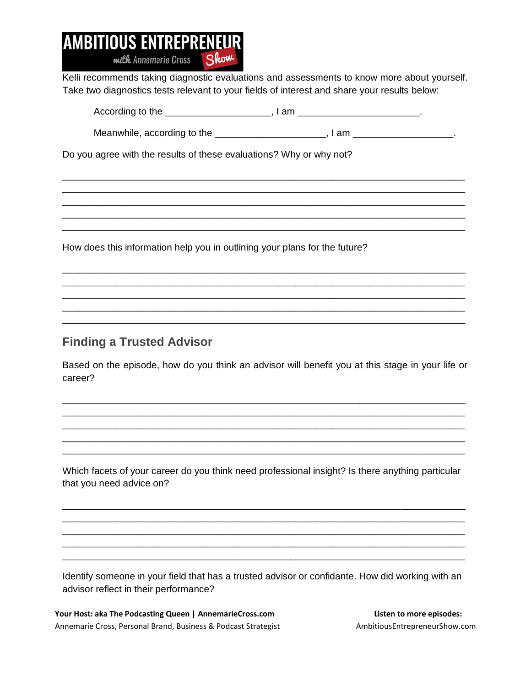### **AMBITIOUS ENTREPRENEL** with Annemarie Cross Show

Kelli recommends taking diagnostic evaluations and assessments to know more about yourself. Take two diagnostics tests relevant to your fields of interest and share your results below:

According to the \_\_\_\_\_\_\_\_\_\_\_\_\_\_\_\_\_\_\_\_, I am \_\_\_\_\_\_\_\_\_\_\_\_\_\_\_\_\_\_\_\_\_\_\_.

\_\_\_\_\_\_\_\_\_\_\_\_\_\_\_\_\_\_\_\_\_\_\_\_\_\_\_\_\_\_\_\_\_\_\_\_\_\_\_\_\_\_\_\_\_\_\_\_\_\_\_\_\_\_\_\_\_\_\_\_\_\_\_\_\_\_\_\_\_\_\_\_\_\_\_\_ \_\_\_\_\_\_\_\_\_\_\_\_\_\_\_\_\_\_\_\_\_\_\_\_\_\_\_\_\_\_\_\_\_\_\_\_\_\_\_\_\_\_\_\_\_\_\_\_\_\_\_\_\_\_\_\_\_\_\_\_\_\_\_\_\_\_\_\_\_\_\_\_\_\_\_\_ \_\_\_\_\_\_\_\_\_\_\_\_\_\_\_\_\_\_\_\_\_\_\_\_\_\_\_\_\_\_\_\_\_\_\_\_\_\_\_\_\_\_\_\_\_\_\_\_\_\_\_\_\_\_\_\_\_\_\_\_\_\_\_\_\_\_\_\_\_\_\_\_\_\_\_\_ \_\_\_\_\_\_\_\_\_\_\_\_\_\_\_\_\_\_\_\_\_\_\_\_\_\_\_\_\_\_\_\_\_\_\_\_\_\_\_\_\_\_\_\_\_\_\_\_\_\_\_\_\_\_\_\_\_\_\_\_\_\_\_\_\_\_\_\_\_\_\_\_\_\_\_\_ \_\_\_\_\_\_\_\_\_\_\_\_\_\_\_\_\_\_\_\_\_\_\_\_\_\_\_\_\_\_\_\_\_\_\_\_\_\_\_\_\_\_\_\_\_\_\_\_\_\_\_\_\_\_\_\_\_\_\_\_\_\_\_\_\_\_\_\_\_\_\_\_\_\_\_\_

\_\_\_\_\_\_\_\_\_\_\_\_\_\_\_\_\_\_\_\_\_\_\_\_\_\_\_\_\_\_\_\_\_\_\_\_\_\_\_\_\_\_\_\_\_\_\_\_\_\_\_\_\_\_\_\_\_\_\_\_\_\_\_\_\_\_\_\_\_\_\_\_\_\_\_\_ \_\_\_\_\_\_\_\_\_\_\_\_\_\_\_\_\_\_\_\_\_\_\_\_\_\_\_\_\_\_\_\_\_\_\_\_\_\_\_\_\_\_\_\_\_\_\_\_\_\_\_\_\_\_\_\_\_\_\_\_\_\_\_\_\_\_\_\_\_\_\_\_\_\_\_\_ \_\_\_\_\_\_\_\_\_\_\_\_\_\_\_\_\_\_\_\_\_\_\_\_\_\_\_\_\_\_\_\_\_\_\_\_\_\_\_\_\_\_\_\_\_\_\_\_\_\_\_\_\_\_\_\_\_\_\_\_\_\_\_\_\_\_\_\_\_\_\_\_\_\_\_\_ \_\_\_\_\_\_\_\_\_\_\_\_\_\_\_\_\_\_\_\_\_\_\_\_\_\_\_\_\_\_\_\_\_\_\_\_\_\_\_\_\_\_\_\_\_\_\_\_\_\_\_\_\_\_\_\_\_\_\_\_\_\_\_\_\_\_\_\_\_\_\_\_\_\_\_\_ \_\_\_\_\_\_\_\_\_\_\_\_\_\_\_\_\_\_\_\_\_\_\_\_\_\_\_\_\_\_\_\_\_\_\_\_\_\_\_\_\_\_\_\_\_\_\_\_\_\_\_\_\_\_\_\_\_\_\_\_\_\_\_\_\_\_\_\_\_\_\_\_\_\_\_\_

Meanwhile, according to the \_\_\_\_\_\_\_\_\_\_\_\_\_\_\_\_\_\_\_\_\_\_, I am \_\_\_\_\_\_\_\_\_\_\_\_\_\_\_\_\_\_\_\_\_\_\_

Do you agree with the results of these evaluations? Why or why not?

How does this information help you in outlining your plans for the future?

#### **Finding a Trusted Advisor**

Based on the episode, how do you think an advisor will benefit you at this stage in your life or career?

\_\_\_\_\_\_\_\_\_\_\_\_\_\_\_\_\_\_\_\_\_\_\_\_\_\_\_\_\_\_\_\_\_\_\_\_\_\_\_\_\_\_\_\_\_\_\_\_\_\_\_\_\_\_\_\_\_\_\_\_\_\_\_\_\_\_\_\_\_\_\_\_\_\_\_\_ \_\_\_\_\_\_\_\_\_\_\_\_\_\_\_\_\_\_\_\_\_\_\_\_\_\_\_\_\_\_\_\_\_\_\_\_\_\_\_\_\_\_\_\_\_\_\_\_\_\_\_\_\_\_\_\_\_\_\_\_\_\_\_\_\_\_\_\_\_\_\_\_\_\_\_\_ \_\_\_\_\_\_\_\_\_\_\_\_\_\_\_\_\_\_\_\_\_\_\_\_\_\_\_\_\_\_\_\_\_\_\_\_\_\_\_\_\_\_\_\_\_\_\_\_\_\_\_\_\_\_\_\_\_\_\_\_\_\_\_\_\_\_\_\_\_\_\_\_\_\_\_\_ \_\_\_\_\_\_\_\_\_\_\_\_\_\_\_\_\_\_\_\_\_\_\_\_\_\_\_\_\_\_\_\_\_\_\_\_\_\_\_\_\_\_\_\_\_\_\_\_\_\_\_\_\_\_\_\_\_\_\_\_\_\_\_\_\_\_\_\_\_\_\_\_\_\_\_\_ \_\_\_\_\_\_\_\_\_\_\_\_\_\_\_\_\_\_\_\_\_\_\_\_\_\_\_\_\_\_\_\_\_\_\_\_\_\_\_\_\_\_\_\_\_\_\_\_\_\_\_\_\_\_\_\_\_\_\_\_\_\_\_\_\_\_\_\_\_\_\_\_\_\_\_\_

Which facets of your career do you think need professional insight? Is there anything particular that you need advice on?

\_\_\_\_\_\_\_\_\_\_\_\_\_\_\_\_\_\_\_\_\_\_\_\_\_\_\_\_\_\_\_\_\_\_\_\_\_\_\_\_\_\_\_\_\_\_\_\_\_\_\_\_\_\_\_\_\_\_\_\_\_\_\_\_\_\_\_\_\_\_\_\_\_\_\_\_ \_\_\_\_\_\_\_\_\_\_\_\_\_\_\_\_\_\_\_\_\_\_\_\_\_\_\_\_\_\_\_\_\_\_\_\_\_\_\_\_\_\_\_\_\_\_\_\_\_\_\_\_\_\_\_\_\_\_\_\_\_\_\_\_\_\_\_\_\_\_\_\_\_\_\_\_ \_\_\_\_\_\_\_\_\_\_\_\_\_\_\_\_\_\_\_\_\_\_\_\_\_\_\_\_\_\_\_\_\_\_\_\_\_\_\_\_\_\_\_\_\_\_\_\_\_\_\_\_\_\_\_\_\_\_\_\_\_\_\_\_\_\_\_\_\_\_\_\_\_\_\_\_ \_\_\_\_\_\_\_\_\_\_\_\_\_\_\_\_\_\_\_\_\_\_\_\_\_\_\_\_\_\_\_\_\_\_\_\_\_\_\_\_\_\_\_\_\_\_\_\_\_\_\_\_\_\_\_\_\_\_\_\_\_\_\_\_\_\_\_\_\_\_\_\_\_\_\_\_ \_\_\_\_\_\_\_\_\_\_\_\_\_\_\_\_\_\_\_\_\_\_\_\_\_\_\_\_\_\_\_\_\_\_\_\_\_\_\_\_\_\_\_\_\_\_\_\_\_\_\_\_\_\_\_\_\_\_\_\_\_\_\_\_\_\_\_\_\_\_\_\_\_\_\_\_

Identify someone in your field that has a trusted advisor or confidante. How did working with an advisor reflect in their performance?

**Your Host: aka The Podcasting Queen | AnnemarieCross.com** Annemarie Cross, Personal Brand, Business & Podcast Strategist

 **Listen to more episodes:** AmbitiousEntrepreneurShow.com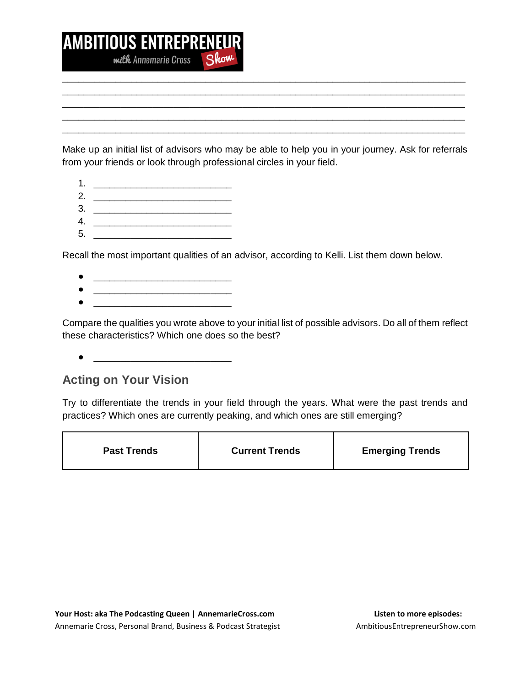### **AMBITIOUS ENTREPREI** with Annemarie Cross \_\_\_\_\_\_\_\_\_\_\_\_\_\_\_\_\_\_\_\_\_\_\_\_\_\_\_\_\_\_\_\_\_\_\_\_\_\_\_\_\_\_\_\_\_\_\_\_\_\_\_\_\_\_\_\_\_\_\_\_\_\_\_\_\_\_\_\_\_\_\_\_\_\_\_\_ \_\_\_\_\_\_\_\_\_\_\_\_\_\_\_\_\_\_\_\_\_\_\_\_\_\_\_\_\_\_\_\_\_\_\_\_\_\_\_\_\_\_\_\_\_\_\_\_\_\_\_\_\_\_\_\_\_\_\_\_\_\_\_\_\_\_\_\_\_\_\_\_\_\_\_\_ \_\_\_\_\_\_\_\_\_\_\_\_\_\_\_\_\_\_\_\_\_\_\_\_\_\_\_\_\_\_\_\_\_\_\_\_\_\_\_\_\_\_\_\_\_\_\_\_\_\_\_\_\_\_\_\_\_\_\_\_\_\_\_\_\_\_\_\_\_\_\_\_\_\_\_\_ \_\_\_\_\_\_\_\_\_\_\_\_\_\_\_\_\_\_\_\_\_\_\_\_\_\_\_\_\_\_\_\_\_\_\_\_\_\_\_\_\_\_\_\_\_\_\_\_\_\_\_\_\_\_\_\_\_\_\_\_\_\_\_\_\_\_\_\_\_\_\_\_\_\_\_\_ \_\_\_\_\_\_\_\_\_\_\_\_\_\_\_\_\_\_\_\_\_\_\_\_\_\_\_\_\_\_\_\_\_\_\_\_\_\_\_\_\_\_\_\_\_\_\_\_\_\_\_\_\_\_\_\_\_\_\_\_\_\_\_\_\_\_\_\_\_\_\_\_\_\_\_\_

Make up an initial list of advisors who may be able to help you in your journey. Ask for referrals from your friends or look through professional circles in your field.

- 1. \_\_\_\_\_\_\_\_\_\_\_\_\_\_\_\_\_\_\_\_\_\_\_\_\_\_
- 2. \_\_\_\_\_\_\_\_\_\_\_\_\_\_\_\_\_\_\_\_\_\_\_\_\_\_ 3. \_\_\_\_\_\_\_\_\_\_\_\_\_\_\_\_\_\_\_\_\_\_\_\_\_\_
- 4. \_\_\_\_\_\_\_\_\_\_\_\_\_\_\_\_\_\_\_\_\_\_\_\_\_\_
- 5. \_\_\_\_\_\_\_\_\_\_\_\_\_\_\_\_\_\_\_\_\_\_\_\_\_\_

Recall the most important qualities of an advisor, according to Kelli. List them down below.

- \_\_\_\_\_\_\_\_\_\_\_\_\_\_\_\_\_\_\_\_\_\_\_\_\_\_
- \_\_\_\_\_\_\_\_\_\_\_\_\_\_\_\_\_\_\_\_\_\_\_\_\_\_ ● \_\_\_\_\_\_\_\_\_\_\_\_\_\_\_\_\_\_\_\_\_\_\_\_\_\_

Compare the qualities you wrote above to your initial list of possible advisors. Do all of them reflect these characteristics? Which one does so the best?

● \_\_\_\_\_\_\_\_\_\_\_\_\_\_\_\_\_\_\_\_\_\_\_\_\_\_

### **Acting on Your Vision**

Try to differentiate the trends in your field through the years. What were the past trends and practices? Which ones are currently peaking, and which ones are still emerging?

| <b>Past Trends</b> | <b>Current Trends</b> | <b>Emerging Trends</b> |
|--------------------|-----------------------|------------------------|
|--------------------|-----------------------|------------------------|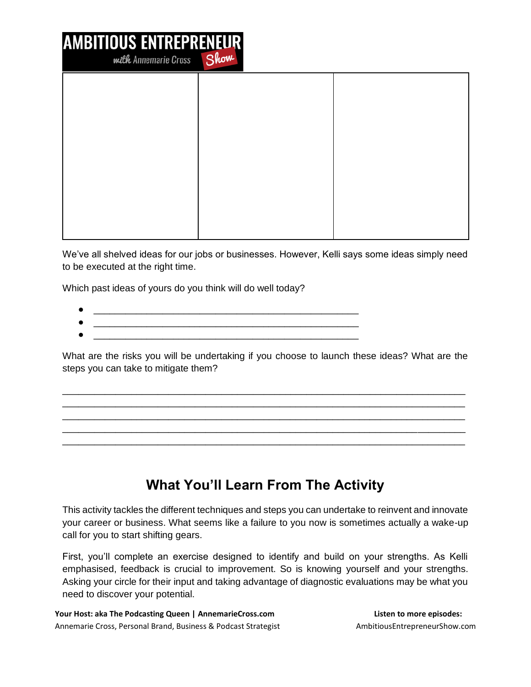**AMBITIOUS ENTREPREI** with Annemarie Cross

We've all shelved ideas for our jobs or businesses. However, Kelli says some ideas simply need to be executed at the right time.

Which past ideas of yours do you think will do well today?

- \_\_\_\_\_\_\_\_\_\_\_\_\_\_\_\_\_\_\_\_\_\_\_\_\_\_\_\_\_\_\_\_\_\_\_\_\_\_\_\_\_\_\_\_\_\_\_\_\_\_
- \_\_\_\_\_\_\_\_\_\_\_\_\_\_\_\_\_\_\_\_\_\_\_\_\_\_\_\_\_\_\_\_\_\_\_\_\_\_\_\_\_\_\_\_\_\_\_\_\_\_ ● \_\_\_\_\_\_\_\_\_\_\_\_\_\_\_\_\_\_\_\_\_\_\_\_\_\_\_\_\_\_\_\_\_\_\_\_\_\_\_\_\_\_\_\_\_\_\_\_\_\_

What are the risks you will be undertaking if you choose to launch these ideas? What are the steps you can take to mitigate them?

\_\_\_\_\_\_\_\_\_\_\_\_\_\_\_\_\_\_\_\_\_\_\_\_\_\_\_\_\_\_\_\_\_\_\_\_\_\_\_\_\_\_\_\_\_\_\_\_\_\_\_\_\_\_\_\_\_\_\_\_\_\_\_\_\_\_\_\_\_\_\_\_\_\_\_\_ \_\_\_\_\_\_\_\_\_\_\_\_\_\_\_\_\_\_\_\_\_\_\_\_\_\_\_\_\_\_\_\_\_\_\_\_\_\_\_\_\_\_\_\_\_\_\_\_\_\_\_\_\_\_\_\_\_\_\_\_\_\_\_\_\_\_\_\_\_\_\_\_\_\_\_\_ \_\_\_\_\_\_\_\_\_\_\_\_\_\_\_\_\_\_\_\_\_\_\_\_\_\_\_\_\_\_\_\_\_\_\_\_\_\_\_\_\_\_\_\_\_\_\_\_\_\_\_\_\_\_\_\_\_\_\_\_\_\_\_\_\_\_\_\_\_\_\_\_\_\_\_\_ \_\_\_\_\_\_\_\_\_\_\_\_\_\_\_\_\_\_\_\_\_\_\_\_\_\_\_\_\_\_\_\_\_\_\_\_\_\_\_\_\_\_\_\_\_\_\_\_\_\_\_\_\_\_\_\_\_\_\_\_\_\_\_\_\_\_\_\_\_\_\_\_\_\_\_\_ \_\_\_\_\_\_\_\_\_\_\_\_\_\_\_\_\_\_\_\_\_\_\_\_\_\_\_\_\_\_\_\_\_\_\_\_\_\_\_\_\_\_\_\_\_\_\_\_\_\_\_\_\_\_\_\_\_\_\_\_\_\_\_\_\_\_\_\_\_\_\_\_\_\_\_\_

# **What You'll Learn From The Activity**

This activity tackles the different techniques and steps you can undertake to reinvent and innovate your career or business. What seems like a failure to you now is sometimes actually a wake-up call for you to start shifting gears.

First, you'll complete an exercise designed to identify and build on your strengths. As Kelli emphasised, feedback is crucial to improvement. So is knowing yourself and your strengths. Asking your circle for their input and taking advantage of diagnostic evaluations may be what you need to discover your potential.

**Your Host: aka The Podcasting Queen | AnnemarieCross.com** Annemarie Cross, Personal Brand, Business & Podcast Strategist AmbitiousEntrepreneurShow.com

 **Listen to more episodes:**